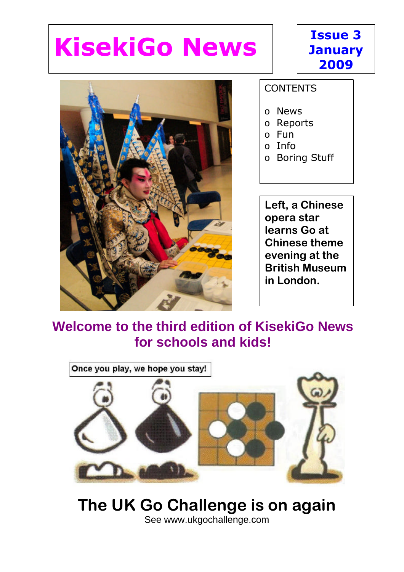# **KisekiGo News**





#### **CONTENTS**

- o News
- o Reports
- o Fun
- $\circ$  Info
- o Boring Stuff

**Left, a Chinese opera star learns Go at Chinese theme evening at the British Museum in London.**

### **Welcome to the third edition of KisekiGo News for schools and kids!**



### **The UK Go Challenge is on again** See www.ukgochallenge.com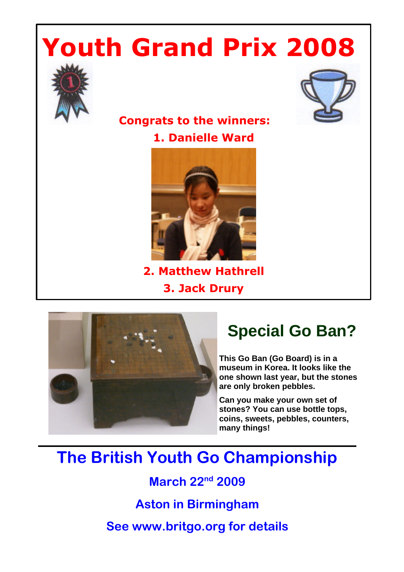# **Youth Grand Prix 2008**





### **Congrats to the winners: 1. Danielle Ward**



**2. Matthew Hathrell 3. Jack Drury**



### **Special Go Ban?**

**This Go Ban (Go Board) is in a museum in Korea. It looks like the one shown last year, but the stones are only broken pebbles.** 

**Can you make your own set of stones? You can use bottle tops, coins, sweets, pebbles, counters, many things!**

### **The British Youth Go Championship**

**March 22nd 2009**

**Aston in Birmingham**

**See www.britgo.org for details**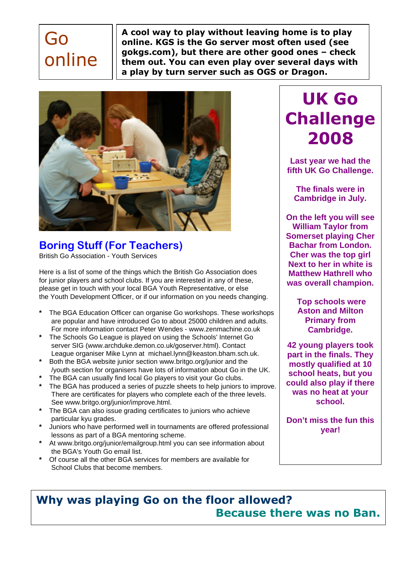## Go online

**A cool way to play without leaving home is to play online. KGS is the Go server most often used (see gokgs.com), but there are other good ones – check them out. You can even play over several days with a play by turn server such as OGS or Dragon.**



**Boring Stuff (For Teachers)** British Go Association - Youth Services

Here is a list of some of the things which the British Go Association does for junior players and school clubs. If you are interested in any of these, please get in touch with your local BGA Youth Representative, or else the Youth Development Officer, or if our information on you needs changing.

- **\*** The BGA Education Officer can organise Go workshops. These workshops are popular and have introduced Go to about 25000 children and adults. For more information contact Peter Wendes - www.zenmachine.co.uk
- **\*** The Schools Go League is played on using the Schools' Internet Go server SIG (www.archduke.demon.co.uk/goserver.html). Contact League organiser Mike Lynn at michael.lynn@keaston.bham.sch.uk.
- **\*** Both the BGA website junior section www.britgo.org/junior and the /youth section for organisers have lots of information about Go in the UK.
- **\*** The BGA can usually find local Go players to visit your Go clubs.
- **\*** The BGA has produced a series of puzzle sheets to help juniors to improve. There are certificates for players who complete each of the three levels. See www.britgo.org/junior/improve.html.
- **\*** The BGA can also issue grading certificates to juniors who achieve particular kyu grades.
- **\*** Juniors who have performed well in tournaments are offered professional lessons as part of a BGA mentoring scheme.
- **\*** At www.britgo.org/junior/emailgroup.html you can see information about the BGA's Youth Go email list.
- **\*** Of course all the other BGA services for members are available for School Clubs that become members.

### **UK Go Challenge 2008**

**Last year we had the fifth UK Go Challenge.**

**The finals were in Cambridge in July.**

**On the left you will see William Taylor from Somerset playing Cher Bachar from London. Cher was the top girl Next to her in white is Matthew Hathrell who was overall champion.**

> **Top schools were Aston and Milton Primary from Cambridge.**

**42 young players took part in the finals. They mostly qualified at 10 school heats, but you could also play if there was no heat at your school.**

**Don't miss the fun this year!**

### **Why was playing Go on the floor allowed? Because there was no Ban.**